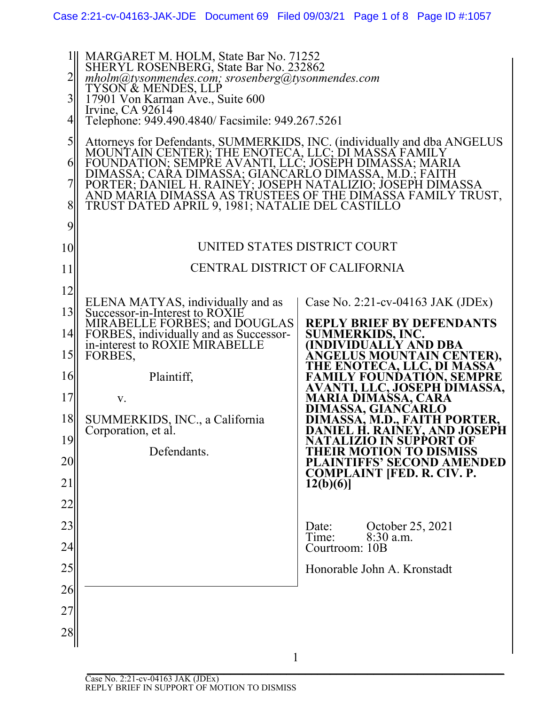| 2<br>$\overline{3}$<br>4                                        | MARGARET M. HOLM, State Bar No. 71252<br>SHERYL ROSENBERG, State Bar No. 232862<br>$mholm@tysonmendes.com;$ srosenberg@tysonmendes.com<br>TYSON & MENDES, LLP<br>17901 Von Karman Ave., Suite 600<br>Irvine, CA 92614<br>Telephone: 949.490.4840/ Facsimile: 949.267.5261                                                                                                                                                     |                                                                                                                                                                                                                                                                                                                                                                                                                                                                                                                            |
|-----------------------------------------------------------------|-------------------------------------------------------------------------------------------------------------------------------------------------------------------------------------------------------------------------------------------------------------------------------------------------------------------------------------------------------------------------------------------------------------------------------|----------------------------------------------------------------------------------------------------------------------------------------------------------------------------------------------------------------------------------------------------------------------------------------------------------------------------------------------------------------------------------------------------------------------------------------------------------------------------------------------------------------------------|
| 5<br>6<br>8<br>9                                                | Attorneys for Defendants, SUMMERKIDS, INC. (individually and dba ANGELUS MOUNTAIN CENTER); THE ENOTECA, LLC; DI MASSA FAMILY<br>FOUNDATION; SEMPRE AVANTI, LLC; JOSEPH DIMASSA; MARIA<br>DIMASSA; CARA DIMASSA; GIANCARLO DIMASSA, M.D.; FAITH<br>PORTER; DANIEL H. RAINEY; JOSEPH NATALIZIO; JOSEPH DIMASSA<br>AND MARIA DIMASSA AS TRUSTEES OF THE DIMASSA FAMILY TRUST,<br>TRUST DATED APRIL 9, 1981; NATALIE DEL CASTILLO |                                                                                                                                                                                                                                                                                                                                                                                                                                                                                                                            |
| 10                                                              | UNITED STATES DISTRICT COURT                                                                                                                                                                                                                                                                                                                                                                                                  |                                                                                                                                                                                                                                                                                                                                                                                                                                                                                                                            |
| 11                                                              | CENTRAL DISTRICT OF CALIFORNIA                                                                                                                                                                                                                                                                                                                                                                                                |                                                                                                                                                                                                                                                                                                                                                                                                                                                                                                                            |
| 12<br>13<br>14<br>15<br>16<br>17<br> 8 <br>19<br>20<br>21<br>22 | ELENA MATYAS, individually and as<br>Successor-in-Interest to ROXIE<br>MIRABELLE FORBES; and DOUGLAS<br>FORBES, individually and as Successor-<br>in-interest to ROXIE MIRABELLE<br>FORBES,<br>Plaintiff,<br>V.<br>SUMMERKIDS, INC., a California<br>Corporation, et al.<br>Defendants.                                                                                                                                       | Case No. 2:21-cv-04163 JAK (JDEx)<br><b>REPLY BRIEF BY DEFENDANTS</b><br>SUMMERKIDS, INC.<br>(INDIVIDUALLY AND DBA<br><b>ANGELUS MOUNTAIN CENTER),</b><br>THE ENOTECA, LLC, DI MASSA<br><b>FAMILY FOUNDATION, SEMPRE<br/>AVANTI, LLC, JOSEPH DIMASSA,</b><br><b>MARIA DIMASSA, CARA</b><br>DIMASSA, GIANCARLO<br>DIMASSA, M.D., FAITH PORTER,<br>DANIEL H. RAINEY, AND JOSEPH<br>NATALIZIO IN SUPPORT OF<br><b>THEIR MOTION TO DISMISS<br/>PLAINTIFFS' SECOND AMENDED</b><br><b>COMPLAINT [FED. R. CIV. P.</b><br>12(b)(6) |
| 23<br>24                                                        |                                                                                                                                                                                                                                                                                                                                                                                                                               | October 25, 2021<br>Date:<br>8:30 a.m.<br>Time:<br>Courtroom: 10B                                                                                                                                                                                                                                                                                                                                                                                                                                                          |
| 25                                                              |                                                                                                                                                                                                                                                                                                                                                                                                                               | Honorable John A. Kronstadt                                                                                                                                                                                                                                                                                                                                                                                                                                                                                                |
| 26                                                              |                                                                                                                                                                                                                                                                                                                                                                                                                               |                                                                                                                                                                                                                                                                                                                                                                                                                                                                                                                            |
| 27                                                              |                                                                                                                                                                                                                                                                                                                                                                                                                               |                                                                                                                                                                                                                                                                                                                                                                                                                                                                                                                            |
| 28                                                              |                                                                                                                                                                                                                                                                                                                                                                                                                               |                                                                                                                                                                                                                                                                                                                                                                                                                                                                                                                            |

 $\begin{array}{c} 1 \end{array}$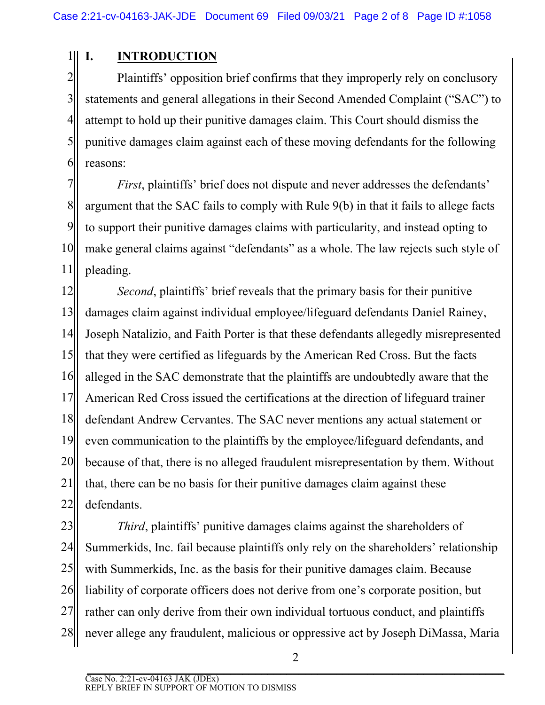### $1$ III **I. INTRODUCTION**

2 3 4 5 6 Plaintiffs' opposition brief confirms that they improperly rely on conclusory statements and general allegations in their Second Amended Complaint ("SAC") to attempt to hold up their punitive damages claim. This Court should dismiss the punitive damages claim against each of these moving defendants for the following reasons:

7 8 9 10 11 *First*, plaintiffs' brief does not dispute and never addresses the defendants' argument that the SAC fails to comply with Rule 9(b) in that it fails to allege facts to support their punitive damages claims with particularity, and instead opting to make general claims against "defendants" as a whole. The law rejects such style of pleading.

12 13 14 15 16 17 18 19 20 21 22 *Second*, plaintiffs' brief reveals that the primary basis for their punitive damages claim against individual employee/lifeguard defendants Daniel Rainey, Joseph Natalizio, and Faith Porter is that these defendants allegedly misrepresented that they were certified as lifeguards by the American Red Cross. But the facts alleged in the SAC demonstrate that the plaintiffs are undoubtedly aware that the American Red Cross issued the certifications at the direction of lifeguard trainer defendant Andrew Cervantes. The SAC never mentions any actual statement or even communication to the plaintiffs by the employee/lifeguard defendants, and because of that, there is no alleged fraudulent misrepresentation by them. Without that, there can be no basis for their punitive damages claim against these defendants.

23 24 25 26 27 28 *Third*, plaintiffs' punitive damages claims against the shareholders of Summerkids, Inc. fail because plaintiffs only rely on the shareholders' relationship with Summerkids, Inc. as the basis for their punitive damages claim. Because liability of corporate officers does not derive from one's corporate position, but rather can only derive from their own individual tortuous conduct, and plaintiffs never allege any fraudulent, malicious or oppressive act by Joseph DiMassa, Maria

 $\overline{\phantom{a}}$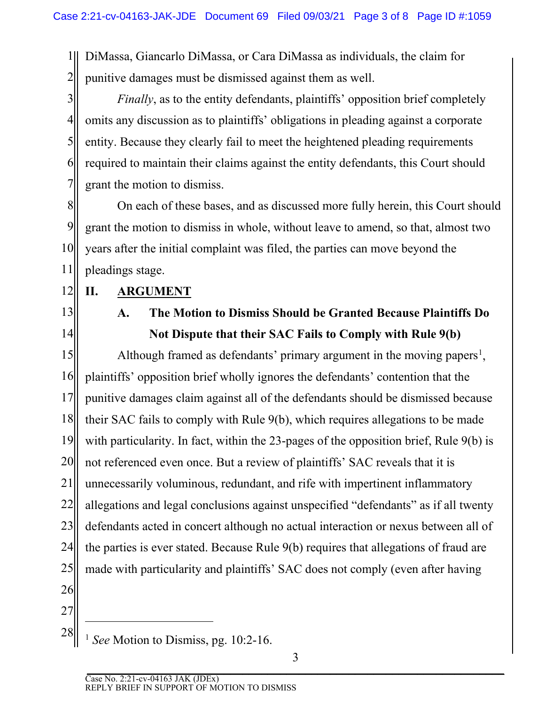1 2 DiMassa, Giancarlo DiMassa, or Cara DiMassa as individuals, the claim for punitive damages must be dismissed against them as well.

3 4 5 6 7 *Finally*, as to the entity defendants, plaintiffs' opposition brief completely omits any discussion as to plaintiffs' obligations in pleading against a corporate entity. Because they clearly fail to meet the heightened pleading requirements required to maintain their claims against the entity defendants, this Court should grant the motion to dismiss.

8 9 10 11 On each of these bases, and as discussed more fully herein, this Court should grant the motion to dismiss in whole, without leave to amend, so that, almost two years after the initial complaint was filed, the parties can move beyond the pleadings stage.

12 **II. ARGUMENT**

13

14

## **A. The Motion to Dismiss Should be Granted Because Plaintiffs Do Not Dispute that their SAC Fails to Comply with Rule 9(b)**

15 16 17 18 19 20 21 22 23 24 25 26 Although framed as defendants' primary argument in the moving papers<sup>[1](#page-2-0)</sup>, plaintiffs' opposition brief wholly ignores the defendants' contention that the punitive damages claim against all of the defendants should be dismissed because their SAC fails to comply with Rule 9(b), which requires allegations to be made with particularity. In fact, within the 23-pages of the opposition brief, Rule 9(b) is not referenced even once. But a review of plaintiffs' SAC reveals that it is unnecessarily voluminous, redundant, and rife with impertinent inflammatory allegations and legal conclusions against unspecified "defendants" as if all twenty defendants acted in concert although no actual interaction or nexus between all of the parties is ever stated. Because Rule 9(b) requires that allegations of fraud are made with particularity and plaintiffs' SAC does not comply (even after having

27

<span id="page-2-0"></span>28

<sup>1</sup> *See* Motion to Dismiss, pg. 10:2-16.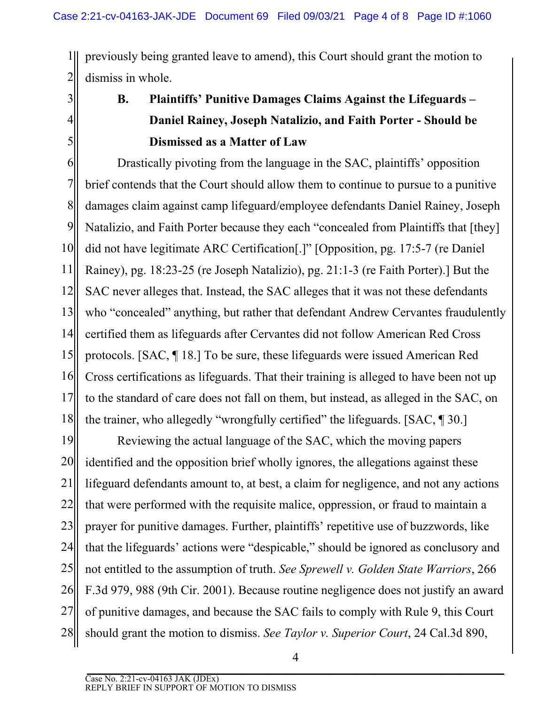1 2 previously being granted leave to amend), this Court should grant the motion to dismiss in whole.

3 4

5

# **B. Plaintiffs' Punitive Damages Claims Against the Lifeguards – Daniel Rainey, Joseph Natalizio, and Faith Porter - Should be Dismissed as a Matter of Law**

6 7 8 9 10 11 12 13 14 15 16 17 18 Drastically pivoting from the language in the SAC, plaintiffs' opposition brief contends that the Court should allow them to continue to pursue to a punitive damages claim against camp lifeguard/employee defendants Daniel Rainey, Joseph Natalizio, and Faith Porter because they each "concealed from Plaintiffs that [they] did not have legitimate ARC Certification[.]" [Opposition, pg. 17:5-7 (re Daniel Rainey), pg. 18:23-25 (re Joseph Natalizio), pg. 21:1-3 (re Faith Porter).] But the SAC never alleges that. Instead, the SAC alleges that it was not these defendants who "concealed" anything, but rather that defendant Andrew Cervantes fraudulently certified them as lifeguards after Cervantes did not follow American Red Cross protocols. [SAC, ¶ 18.] To be sure, these lifeguards were issued American Red Cross certifications as lifeguards. That their training is alleged to have been not up to the standard of care does not fall on them, but instead, as alleged in the SAC, on the trainer, who allegedly "wrongfully certified" the lifeguards. [SAC, ¶ 30.]

19 20 21 22 23 24 25 26 27 28 Reviewing the actual language of the SAC, which the moving papers identified and the opposition brief wholly ignores, the allegations against these lifeguard defendants amount to, at best, a claim for negligence, and not any actions that were performed with the requisite malice, oppression, or fraud to maintain a prayer for punitive damages. Further, plaintiffs' repetitive use of buzzwords, like that the lifeguards' actions were "despicable," should be ignored as conclusory and not entitled to the assumption of truth. *See Sprewell v. Golden State Warriors*, 266 F.3d 979, 988 (9th Cir. 2001). Because routine negligence does not justify an award of punitive damages, and because the SAC fails to comply with Rule 9, this Court should grant the motion to dismiss. *See Taylor v. Superior Court*, 24 Cal.3d 890,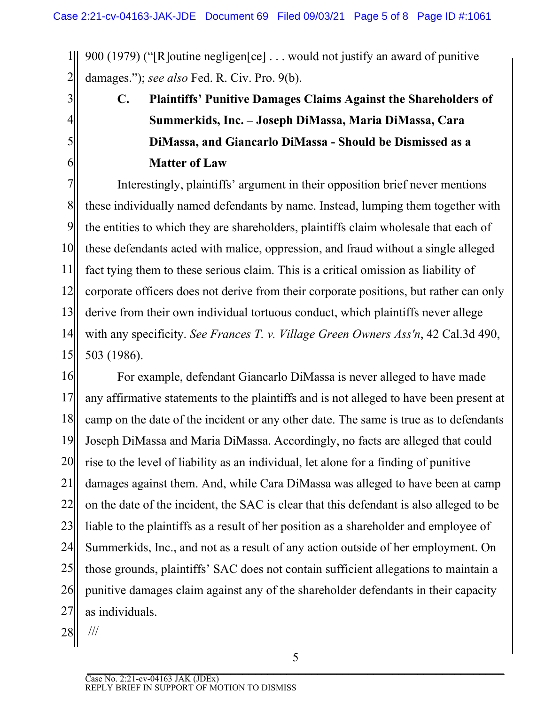1 2 900 (1979) ("[R]outine negligen[ce] . . . would not justify an award of punitive damages."); *see also* Fed. R. Civ. Pro. 9(b).

> **C. Plaintiffs' Punitive Damages Claims Against the Shareholders of Summerkids, Inc. – Joseph DiMassa, Maria DiMassa, Cara DiMassa, and Giancarlo DiMassa - Should be Dismissed as a Matter of Law**

7 8 9 10 11 12 13 14 15 Interestingly, plaintiffs' argument in their opposition brief never mentions these individually named defendants by name. Instead, lumping them together with the entities to which they are shareholders, plaintiffs claim wholesale that each of these defendants acted with malice, oppression, and fraud without a single alleged fact tying them to these serious claim. This is a critical omission as liability of corporate officers does not derive from their corporate positions, but rather can only derive from their own individual tortuous conduct, which plaintiffs never allege with any specificity. *See Frances T. v. Village Green Owners Ass'n*, 42 Cal.3d 490, 503 (1986).

16 17 18 19 20 21 22 23 24 25 26 27 For example, defendant Giancarlo DiMassa is never alleged to have made any affirmative statements to the plaintiffs and is not alleged to have been present at camp on the date of the incident or any other date. The same is true as to defendants Joseph DiMassa and Maria DiMassa. Accordingly, no facts are alleged that could rise to the level of liability as an individual, let alone for a finding of punitive damages against them. And, while Cara DiMassa was alleged to have been at camp on the date of the incident, the SAC is clear that this defendant is also alleged to be liable to the plaintiffs as a result of her position as a shareholder and employee of Summerkids, Inc., and not as a result of any action outside of her employment. On those grounds, plaintiffs' SAC does not contain sufficient allegations to maintain a punitive damages claim against any of the shareholder defendants in their capacity as individuals.

28 ///

3

4

5

6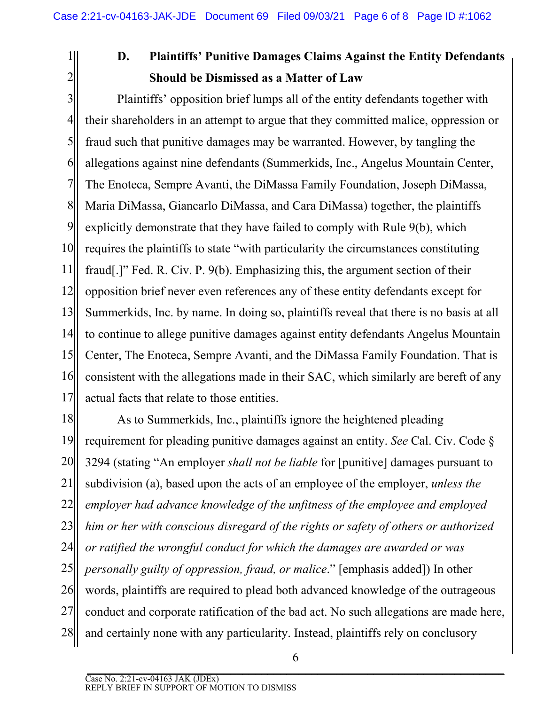1 2

# **D. Plaintiffs' Punitive Damages Claims Against the Entity Defendants Should be Dismissed as a Matter of Law**

3 4 5 6 7 8 9 10 11 12 13 14 15 16 17 Plaintiffs' opposition brief lumps all of the entity defendants together with their shareholders in an attempt to argue that they committed malice, oppression or fraud such that punitive damages may be warranted. However, by tangling the allegations against nine defendants (Summerkids, Inc., Angelus Mountain Center, The Enoteca, Sempre Avanti, the DiMassa Family Foundation, Joseph DiMassa, Maria DiMassa, Giancarlo DiMassa, and Cara DiMassa) together, the plaintiffs explicitly demonstrate that they have failed to comply with Rule 9(b), which requires the plaintiffs to state "with particularity the circumstances constituting fraud[.]" Fed. R. Civ. P. 9(b). Emphasizing this, the argument section of their opposition brief never even references any of these entity defendants except for Summerkids, Inc. by name. In doing so, plaintiffs reveal that there is no basis at all to continue to allege punitive damages against entity defendants Angelus Mountain Center, The Enoteca, Sempre Avanti, and the DiMassa Family Foundation. That is consistent with the allegations made in their SAC, which similarly are bereft of any actual facts that relate to those entities.

18 19 20 21 22 23 24 25 26 27 28 As to Summerkids, Inc., plaintiffs ignore the heightened pleading requirement for pleading punitive damages against an entity. *See* Cal. Civ. Code § 3294 (stating "An employer *shall not be liable* for [punitive] damages pursuant to subdivision (a), based upon the acts of an employee of the employer, *unless the employer had advance knowledge of the unfitness of the employee and employed him or her with conscious disregard of the rights or safety of others or authorized or ratified the wrongful conduct for which the damages are awarded or was personally guilty of oppression, fraud, or malice*." [emphasis added]) In other words, plaintiffs are required to plead both advanced knowledge of the outrageous conduct and corporate ratification of the bad act. No such allegations are made here, and certainly none with any particularity. Instead, plaintiffs rely on conclusory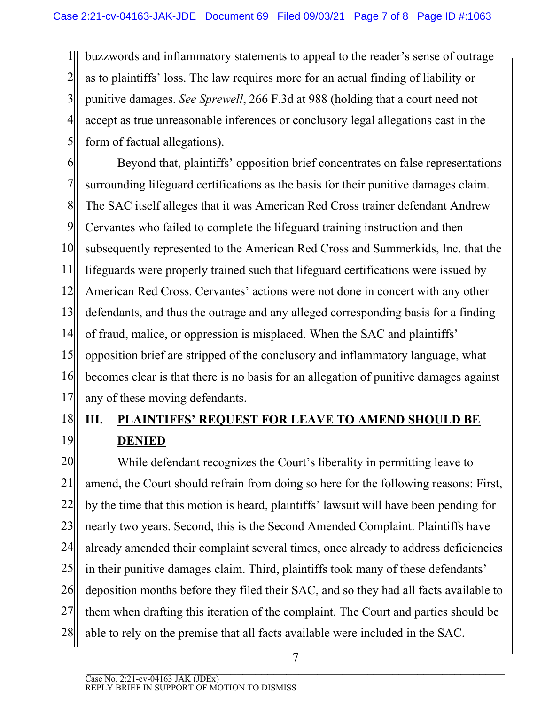1 2 3 4 5 buzzwords and inflammatory statements to appeal to the reader's sense of outrage as to plaintiffs' loss. The law requires more for an actual finding of liability or punitive damages. *See Sprewell*, 266 F.3d at 988 (holding that a court need not accept as true unreasonable inferences or conclusory legal allegations cast in the form of factual allegations).

6 7 8 9 10 11 12 13 14 15 16 17 Beyond that, plaintiffs' opposition brief concentrates on false representations surrounding lifeguard certifications as the basis for their punitive damages claim. The SAC itself alleges that it was American Red Cross trainer defendant Andrew Cervantes who failed to complete the lifeguard training instruction and then subsequently represented to the American Red Cross and Summerkids, Inc. that the lifeguards were properly trained such that lifeguard certifications were issued by American Red Cross. Cervantes' actions were not done in concert with any other defendants, and thus the outrage and any alleged corresponding basis for a finding of fraud, malice, or oppression is misplaced. When the SAC and plaintiffs' opposition brief are stripped of the conclusory and inflammatory language, what becomes clear is that there is no basis for an allegation of punitive damages against any of these moving defendants.

## 18 19 **III. PLAINTIFFS' REQUEST FOR LEAVE TO AMEND SHOULD BE DENIED**

20 21 22 23 24 25 26 27 28 While defendant recognizes the Court's liberality in permitting leave to amend, the Court should refrain from doing so here for the following reasons: First, by the time that this motion is heard, plaintiffs' lawsuit will have been pending for nearly two years. Second, this is the Second Amended Complaint. Plaintiffs have already amended their complaint several times, once already to address deficiencies in their punitive damages claim. Third, plaintiffs took many of these defendants' deposition months before they filed their SAC, and so they had all facts available to them when drafting this iteration of the complaint. The Court and parties should be able to rely on the premise that all facts available were included in the SAC.